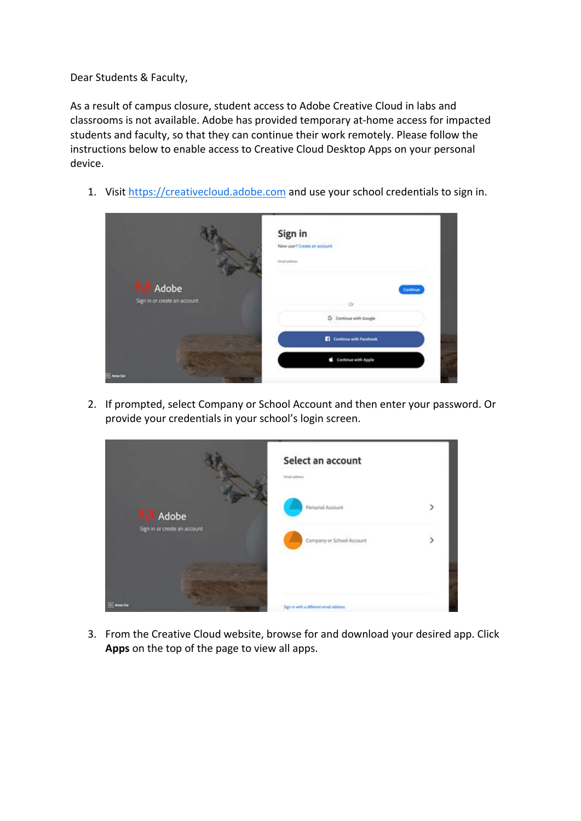Dear Students & Faculty,

As a result of campus closure, student access to Adobe Creative Cloud in labs and classrooms is not available. Adobe has provided temporary at-home access for impacted students and faculty, so that they can continue their work remotely. Please follow the instructions below to enable access to Creative Cloud Desktop Apps on your personal device.

1. Visit [https://creativecloud.adobe.com](https://url6.mailanyone.net/v1/?m=1jFF2K-0009X0-49&i=57e1b682&c=rjWH2Afc9EMDyHq5Vkh1zj7mqLbxbqsKNzdDyL2hWHAKRrGMWU8oAbee-QfDGPw-Ehvu1vmXpx3vweuP78GRPvq2v8FCjyaJx3r9hqgw225v1hR9diXms6lz9cXiDVuZYtdjPsmoNEmJ4QeqECpp-lGRtviOU4yaxcoDUfjKTtMxyuqQmihNp0j_P8is203wzKot5-nFG0c3s-mZOgqGhKAV5BhPtaQzoXPG0Oaw-BY) and use your school credentials to sign in.



2. If prompted, select Company or School Account and then enter your password. Or provide your credentials in your school's login screen.

|                              | Select an account<br>Email address.    |                |
|------------------------------|----------------------------------------|----------------|
| Adobe                        | Personal Account                       |                |
| Sign in or create an account | Company or School Account              | $\overline{ }$ |
|                              |                                        |                |
| <b>ED</b> Anna Car           | Sign in with a different email address |                |

3. From the Creative Cloud website, browse for and download your desired app. Click **Apps** on the top of the page to view all apps.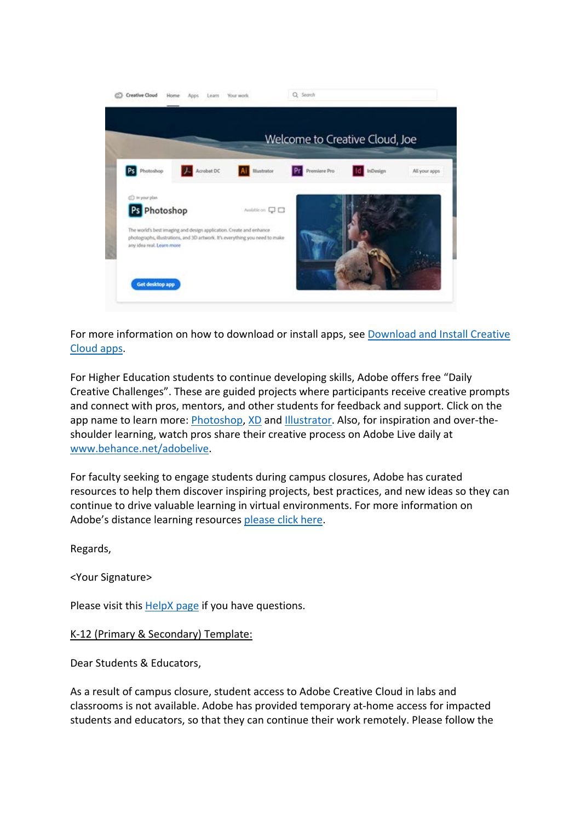

For more information on how to download or install apps, see [Download and Install Creative](https://url6.mailanyone.net/v1/?m=1jFF2K-0009X0-49&i=57e1b682&c=g9-K3USpcRNFeloinr_3Pv1P1eoDr4GMk2wKcGTlvNU68j68zychlhzDWHiyhg-qzjQ46ifpKfEJmkdjDY-qZFeI3NlMtxpk8EV8bCugSLVvmQbUQF9H3FmfawDmdidlykiN7Copn7Hb2RVPkQ1O91PKtemPMh-UacOiK99qSHfSIRbwhTPg23yE0Q9md5AYzTiLOr3RfZUYmS361Z0UKQ_g3vOTK6h1m4fq4DpzS2Ll-vJzeXvCR_9-tXM0Acp0xCGCHlQg1YSoq3G3UkEqG8PThZtqJeijR4G2r0ybTYc)  [Cloud apps.](https://url6.mailanyone.net/v1/?m=1jFF2K-0009X0-49&i=57e1b682&c=g9-K3USpcRNFeloinr_3Pv1P1eoDr4GMk2wKcGTlvNU68j68zychlhzDWHiyhg-qzjQ46ifpKfEJmkdjDY-qZFeI3NlMtxpk8EV8bCugSLVvmQbUQF9H3FmfawDmdidlykiN7Copn7Hb2RVPkQ1O91PKtemPMh-UacOiK99qSHfSIRbwhTPg23yE0Q9md5AYzTiLOr3RfZUYmS361Z0UKQ_g3vOTK6h1m4fq4DpzS2Ll-vJzeXvCR_9-tXM0Acp0xCGCHlQg1YSoq3G3UkEqG8PThZtqJeijR4G2r0ybTYc)

For Higher Education students to continue developing skills, Adobe offers free "Daily Creative Challenges". These are guided projects where participants receive creative prompts and connect with pros, mentors, and other students for feedback and support. Click on the app name to learn more: [Photoshop,](https://url6.mailanyone.net/v1/?m=1jFF2K-0009X0-49&i=57e1b682&c=ZTAkmC-a-ZkYc-ihtBKnuLi3BJosUo6R2sX8azaKzLOOB6muGi9PYp7NVdJUx9DDnrKwN0Vmdv5mutBVTmQmrFnu6ucD1wffsiDl_C1MaLo7ax8jR24r9mLN7ZS7Wwqua29AC0zqOlGVIzB4o6AcyhF95ojgxCVdImLnLiN0rtGAwxUSar9hIs_U2Wf7M9TFxMNcBRYekuVHDKhyGe5niYx6lNasXbx_HOezea_BQAPYSMGrsZh4CBl7aEof8s7k) [XD](https://url6.mailanyone.net/v1/?m=1jFF2K-0009X0-49&i=57e1b682&c=AqHQuW-oqYvVkXQbQ9zWemBoKGqXEMOayjA0DbyZBvQynyGTFCfifrnxqKvBfBqM9-nFDsT56VXnBcU3ekWcz0Hm64EZ4-WjNGkNwBsFK5IaKKIr925qi1ZLJSJZIsQCH0jAPR6OX6bljBAksnFEm9agg2EvuOFn_xXkG6EnyFZCIGuMun7GaOUrJ3VhqbiztFfYBEhetIlIPWkIgSz3FU0xHoSmiUeG7NMofPOYCPvIsiRurhI6VgjYMJosN--2) and [Illustrator.](https://url6.mailanyone.net/v1/?m=1jFF2K-0009X0-49&i=57e1b682&c=GPQM3DPtghRBJRUs000g1UAc-Nr8ZI7G3oyF7winMdmN1nORMzAMHw5NN36L_bCFrqCnGul4yrUB-7ZUzCbD4sDA-7fxUebBPXUGHmz_T_RyUswWMDy7lnDf3R-Qjh8Erzdi1P8X721F7MLX8-J_5u9hHQ_N_s18rYBxQ2c88mV2fugGyRqpFioCfhM65mMpm5LNSAyWOtVwG2EDSyWaFn9BcR2oGwAO2HDgN0a4NRUQNYuMHRxwws3KEbK9XFIl) Also, for inspiration and over-theshoulder learning, watch pros share their creative process on Adobe Live daily at [www.behance.net/adobelive.](https://url6.mailanyone.net/v1/?m=1jFF2K-0009X0-49&i=57e1b682&c=eQ9ACP8UOYxqLYBZ24AGftyCmMztD-AnjjzWDbTGDiBjbSpQSbYyB_yvjI9AlXUCWqsLpyGMeQwoMaS1knJqi7QaDMtpdzldatAqgLwK6vFjRZyL_FGArvt2D80MdHZSJkSKfWfS280mLTEqQCisFgRGw7Wmp7dVLG6yteoHwZr1-sf1Tytc7WTfe_RP7_AEIshcQBsCS4pIP3O1J4X9tVYD8cpIxH1dIHon6mQfUAk)

For faculty seeking to engage students during campus closures, Adobe has curated resources to help them discover inspiring projects, best practices, and new ideas so they can continue to drive valuable learning in virtual environments. For more information on Adobe's distance learning resources [please click here.](https://url6.mailanyone.net/v1/?m=1jFF2K-0009X0-49&i=57e1b682&c=t1ZcFNSKhZUun5PWYj2zPHbo-kz0aIQonBbYcocmlqe-Gnkcqz-YIfy7-lqb0ILawLUagAFp2-2foVLqCqSbLYb3x9y-IMU-p-bPLdIYVADPjQzXI_ZOMK17xbzI70TZIVErT9M5WMsa13hKRemr0a9-bmcsUYyXemHcj4vOXDMxs9fPkRerIU27Y_o7HbnJFIMHGwNuGsSmoaw1k2SmjZQPbf5s9qj0G7KuPNbx7SVFL8Ls4pAQhUZSUjlUO-k6)

Regards,

<Your Signature>

Please visit this [HelpX page](https://url6.mailanyone.net/v1/?m=1jFF2K-0009X0-49&i=57e1b682&c=UM6yVdRkJ9-HNQLY1XiiXh0lLuN_AcB7y8FSOyJQAP-D3_2Jr2XXeYpPy1Gwr5ZB5w5NhZDwQcBLEGqkaWvPQ4SSgZLI2XLe0hIi9m4sCEGqC_nYfu3aHUdIVpUeQVhj6_RzXlka7u7F26qlS9Ixn-gqtbYQaHTNF08hPNFJp_1uZV31NVMZvQgh0h3XRNJhbb_BRTbSR1YChHINkEsRXPRjRJ_ELz-l00oV2y4DT0scsg-EnQK5h_u5Wdzz-1lqP-sZkQGkAQBYNUy8BfHsLQ) if you have questions.

K-12 (Primary & Secondary) Template:

Dear Students & Educators,

As a result of campus closure, student access to Adobe Creative Cloud in labs and classrooms is not available. Adobe has provided temporary at-home access for impacted students and educators, so that they can continue their work remotely. Please follow the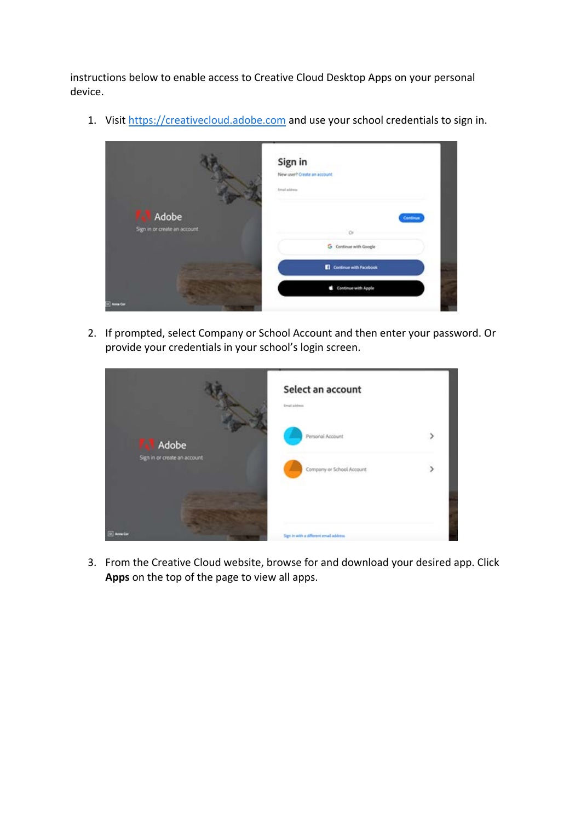instructions below to enable access to Creative Cloud Desktop Apps on your personal device.

1. Visit [https://creativecloud.adobe.com](https://url6.mailanyone.net/v1/?m=1jFF2K-0009X0-49&i=57e1b682&c=rjWH2Afc9EMDyHq5Vkh1zj7mqLbxbqsKNzdDyL2hWHAKRrGMWU8oAbee-QfDGPw-Ehvu1vmXpx3vweuP78GRPvq2v8FCjyaJx3r9hqgw225v1hR9diXms6lz9cXiDVuZYtdjPsmoNEmJ4QeqECpp-lGRtviOU4yaxcoDUfjKTtMxyuqQmihNp0j_P8is203wzKot5-nFG0c3s-mZOgqGhKAV5BhPtaQzoXPG0Oaw-BY) and use your school credentials to sign in.



2. If prompted, select Company or School Account and then enter your password. Or provide your credentials in your school's login screen.



3. From the Creative Cloud website, browse for and download your desired app. Click **Apps** on the top of the page to view all apps.